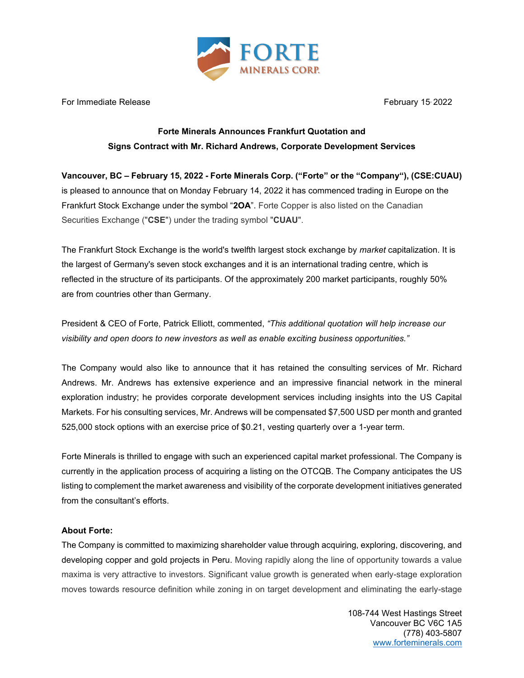

For Immediate Release February 15, 2022

## **Forte Minerals Announces Frankfurt Quotation and Signs Contract with Mr. Richard Andrews, Corporate Development Services**

**Vancouver, BC – February 15, 2022 - Forte Minerals Corp. ("Forte" or the "Company"), (CSE:CUAU)** is pleased to announce that on Monday February 14, 2022 it has commenced trading in Europe on the Frankfurt Stock Exchange under the symbol "**2OA**". Forte Copper is also listed on the Canadian Securities Exchange ("**CSE**") under the trading symbol "**CUAU**".

The Frankfurt Stock Exchange is the world's twelfth largest stock exchange by *market* capitalization. It is the largest of Germany's seven stock exchanges and it is an international trading centre, which is reflected in the structure of its participants. Of the approximately 200 market participants, roughly 50% are from countries other than Germany.

President & CEO of Forte, Patrick Elliott, commented, *"This additional quotation will help increase our visibility and open doors to new investors as well as enable exciting business opportunities."*

The Company would also like to announce that it has retained the consulting services of Mr. Richard Andrews. Mr. Andrews has extensive experience and an impressive financial network in the mineral exploration industry; he provides corporate development services including insights into the US Capital Markets. For his consulting services, Mr. Andrews will be compensated \$7,500 USD per month and granted 525,000 stock options with an exercise price of \$0.21, vesting quarterly over a 1-year term.

Forte Minerals is thrilled to engage with such an experienced capital market professional. The Company is currently in the application process of acquiring a listing on the OTCQB. The Company anticipates the US listing to complement the market awareness and visibility of the corporate development initiatives generated from the consultant's efforts.

## **About Forte:**

The Company is committed to maximizing shareholder value through acquiring, exploring, discovering, and developing copper and gold projects in Peru. Moving rapidly along the line of opportunity towards a value maxima is very attractive to investors. Significant value growth is generated when early-stage exploration moves towards resource definition while zoning in on target development and eliminating the early-stage